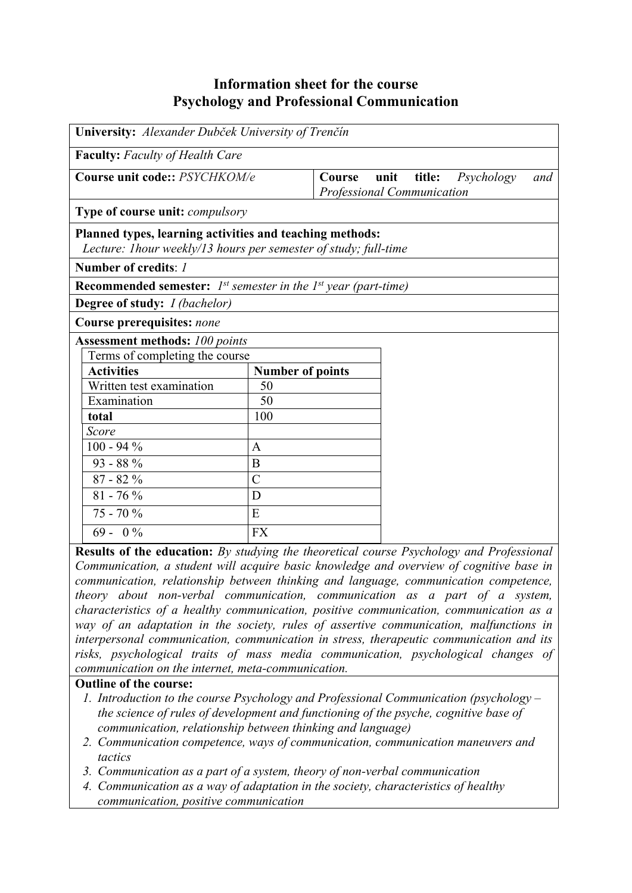## **Information sheet for the course Psychology and Professional Communication**

| University: Alexander Dubček University of Trenčín                                                                           |                         |                                                                                                 |  |  |  |  |
|------------------------------------------------------------------------------------------------------------------------------|-------------------------|-------------------------------------------------------------------------------------------------|--|--|--|--|
| <b>Faculty:</b> Faculty of Health Care                                                                                       |                         |                                                                                                 |  |  |  |  |
| Course unit code:: PSYCHKOM/e                                                                                                |                         | unit<br>title:<br>Psychology<br>Course<br>and<br><b>Professional Communication</b>              |  |  |  |  |
| Type of course unit: compulsory                                                                                              |                         |                                                                                                 |  |  |  |  |
| Planned types, learning activities and teaching methods:<br>Lecture: I hour weekly/13 hours per semester of study; full-time |                         |                                                                                                 |  |  |  |  |
| Number of credits: 1                                                                                                         |                         |                                                                                                 |  |  |  |  |
| <b>Recommended semester:</b> $I^{st}$ semester in the $I^{st}$ year (part-time)                                              |                         |                                                                                                 |  |  |  |  |
| <b>Degree of study:</b> <i>I (bachelor)</i>                                                                                  |                         |                                                                                                 |  |  |  |  |
| Course prerequisites: none                                                                                                   |                         |                                                                                                 |  |  |  |  |
| <b>Assessment methods: 100 points</b>                                                                                        |                         |                                                                                                 |  |  |  |  |
| Terms of completing the course                                                                                               |                         |                                                                                                 |  |  |  |  |
| <b>Activities</b>                                                                                                            | <b>Number of points</b> |                                                                                                 |  |  |  |  |
| Written test examination                                                                                                     | 50                      |                                                                                                 |  |  |  |  |
| Examination                                                                                                                  | 50                      |                                                                                                 |  |  |  |  |
| total                                                                                                                        | 100                     |                                                                                                 |  |  |  |  |
| Score                                                                                                                        |                         |                                                                                                 |  |  |  |  |
| $100 - 94\%$                                                                                                                 | A                       |                                                                                                 |  |  |  |  |
| $93 - 88%$                                                                                                                   | B                       |                                                                                                 |  |  |  |  |
| $87 - 82%$                                                                                                                   | $\overline{C}$          |                                                                                                 |  |  |  |  |
| $81 - 76 %$                                                                                                                  | D                       |                                                                                                 |  |  |  |  |
| $75 - 70%$                                                                                                                   | E                       |                                                                                                 |  |  |  |  |
| $69 - 0\%$                                                                                                                   | <b>FX</b>               |                                                                                                 |  |  |  |  |
|                                                                                                                              |                         | <b>Results of the education:</b> By studying the theoretical course Psychology and Professional |  |  |  |  |

**Results of the education:** *By studying the theoretical course Psychology and Professional Communication, a student will acquire basic knowledge and overview of cognitive base in communication, relationship between thinking and language, communication competence, theory about non-verbal communication, communication as a part of a system, characteristics of a healthy communication, positive communication, communication as a way of an adaptation in the society, rules of assertive communication, malfunctions in interpersonal communication, communication in stress, therapeutic communication and its risks, psychological traits of mass media communication, psychological changes of communication on the internet, meta-communication.*

## **Outline of the course:**

- *1. Introduction to the course Psychology and Professional Communication (psychology the science of rules of development and functioning of the psyche, cognitive base of communication, relationship between thinking and language)*
- *2. Communication competence, ways of communication, communication maneuvers and tactics*
- *3. Communication as a part of a system, theory of non-verbal communication*
- *4. Communication as a way of adaptation in the society, characteristics of healthy communication, positive communication*